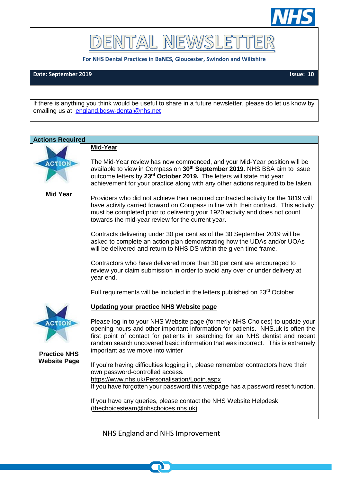

DENTAL NEWSLET TER

**For NHS Dental Practices in BaNES, Gloucester, Swindon and Wiltshire**

**Date: September 2019 Issue: 10**

If there is anything you think would be useful to share in a future newsletter, please do let us know by emailing us at [england.bgsw-dental@nhs.net](mailto:england.bgsw-dental@nhs.net)

| <b>Actions Required</b>                                     |                                                                                                                                                                                                                                                                                                                                                                                                                                                                                                                                                                                                                                                                                                                      |  |
|-------------------------------------------------------------|----------------------------------------------------------------------------------------------------------------------------------------------------------------------------------------------------------------------------------------------------------------------------------------------------------------------------------------------------------------------------------------------------------------------------------------------------------------------------------------------------------------------------------------------------------------------------------------------------------------------------------------------------------------------------------------------------------------------|--|
|                                                             | Mid-Year                                                                                                                                                                                                                                                                                                                                                                                                                                                                                                                                                                                                                                                                                                             |  |
| <b>ACTION</b>                                               | The Mid-Year review has now commenced, and your Mid-Year position will be<br>available to view in Compass on 30 <sup>th</sup> September 2019. NHS BSA aim to issue<br>outcome letters by 23 <sup>rd</sup> October 2019. The letters will state mid year<br>achievement for your practice along with any other actions required to be taken.                                                                                                                                                                                                                                                                                                                                                                          |  |
| <b>Mid Year</b>                                             | Providers who did not achieve their required contracted activity for the 1819 will<br>have activity carried forward on Compass in line with their contract. This activity<br>must be completed prior to delivering your 1920 activity and does not count<br>towards the mid-year review for the current year.<br>Contracts delivering under 30 per cent as of the 30 September 2019 will be<br>asked to complete an action plan demonstrating how the UDAs and/or UOAs<br>will be delivered and return to NHS DS within the given time frame.<br>Contractors who have delivered more than 30 per cent are encouraged to<br>review your claim submission in order to avoid any over or under delivery at<br>year end. |  |
|                                                             | Full requirements will be included in the letters published on 23 <sup>rd</sup> October                                                                                                                                                                                                                                                                                                                                                                                                                                                                                                                                                                                                                              |  |
| <b>ACTION</b><br><b>Practice NHS</b><br><b>Website Page</b> | Updating your practice NHS Website page<br>Please log in to your NHS Website page (formerly NHS Choices) to update your<br>opening hours and other important information for patients. NHS.uk is often the<br>first point of contact for patients in searching for an NHS dentist and recent<br>random search uncovered basic information that was incorrect. This is extremely<br>important as we move into winter                                                                                                                                                                                                                                                                                                  |  |
|                                                             | If you're having difficulties logging in, please remember contractors have their<br>own password-controlled access.<br>https://www.nhs.uk/Personalisation/Login.aspx<br>If you have forgotten your password this webpage has a password reset function.<br>If you have any queries, please contact the NHS Website Helpdesk<br>(thechoicesteam@nhschoices.nhs.uk)                                                                                                                                                                                                                                                                                                                                                    |  |

NHS England and NHS Improvement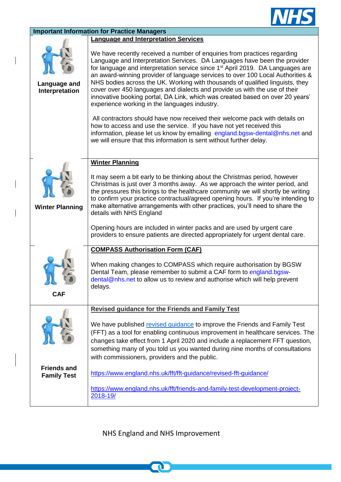

| <b>Important Information for Practice Managers</b> |                                                                                                                                                                                                                                                                                                                                                                                                                                                                                                                                                                                                                                        |  |
|----------------------------------------------------|----------------------------------------------------------------------------------------------------------------------------------------------------------------------------------------------------------------------------------------------------------------------------------------------------------------------------------------------------------------------------------------------------------------------------------------------------------------------------------------------------------------------------------------------------------------------------------------------------------------------------------------|--|
|                                                    | <b>Language and Interpretation Services</b>                                                                                                                                                                                                                                                                                                                                                                                                                                                                                                                                                                                            |  |
| Language and<br>Interpretation                     | We have recently received a number of enquiries from practices regarding<br>Language and Interpretation Services. DA Languages have been the provider<br>for language and interpretation service since 1 <sup>st</sup> April 2019. DA Languages are<br>an award-winning provider of language services to over 100 Local Authorities &<br>NHS bodies across the UK. Working with thousands of qualified linguists, they<br>cover over 450 languages and dialects and provide us with the use of their<br>innovative booking portal, DA Link, which was created based on over 20 years'<br>experience working in the languages industry. |  |
|                                                    | All contractors should have now received their welcome pack with details on                                                                                                                                                                                                                                                                                                                                                                                                                                                                                                                                                            |  |
|                                                    | how to access and use the service. If you have not yet received this<br>information, please let us know by emailing england.bgsw-dental@nhs.net and<br>we will ensure that this information is sent without further delay.                                                                                                                                                                                                                                                                                                                                                                                                             |  |
|                                                    | <b>Winter Planning</b>                                                                                                                                                                                                                                                                                                                                                                                                                                                                                                                                                                                                                 |  |
| <b>Winter Planning</b>                             | It may seem a bit early to be thinking about the Christmas period, however<br>Christmas is just over 3 months away. As we approach the winter period, and<br>the pressures this brings to the healthcare community we will shortly be writing<br>to confirm your practice contractual/agreed opening hours. If you're intending to<br>make alternative arrangements with other practices, you'll need to share the<br>details with NHS England                                                                                                                                                                                         |  |
|                                                    | Opening hours are included in winter packs and are used by urgent care<br>providers to ensure patients are directed appropriately for urgent dental care.                                                                                                                                                                                                                                                                                                                                                                                                                                                                              |  |
|                                                    | <b>COMPASS Authorisation Form (CAF)</b>                                                                                                                                                                                                                                                                                                                                                                                                                                                                                                                                                                                                |  |
| <b>CAF</b>                                         | When making changes to COMPASS which require authorisation by BGSW<br>Dental Team, please remember to submit a CAF form to england.bgsw-<br>dental@nhs.net to allow us to review and authorise which will help prevent<br>delays.                                                                                                                                                                                                                                                                                                                                                                                                      |  |
|                                                    | <b>Revised guidance for the Friends and Family Test</b>                                                                                                                                                                                                                                                                                                                                                                                                                                                                                                                                                                                |  |
|                                                    | We have published revised quidance to improve the Friends and Family Test<br>(FFT) as a tool for enabling continuous improvement in healthcare services. The<br>changes take effect from 1 April 2020 and include a replacement FFT question,<br>something many of you told us you wanted during nine months of consultations<br>with commissioners, providers and the public.                                                                                                                                                                                                                                                         |  |
| <b>Friends and</b><br><b>Family Test</b>           | https://www.england.nhs.uk/fft/fft-guidance/revised-fft-guidance/                                                                                                                                                                                                                                                                                                                                                                                                                                                                                                                                                                      |  |
|                                                    | https://www.england.nhs.uk/fft/friends-and-family-test-development-project-<br>2018-19/                                                                                                                                                                                                                                                                                                                                                                                                                                                                                                                                                |  |

 $\overline{\phantom{a}}$ 

 $\overline{\phantom{a}}$ 

NHS England and NHS Improvement

n